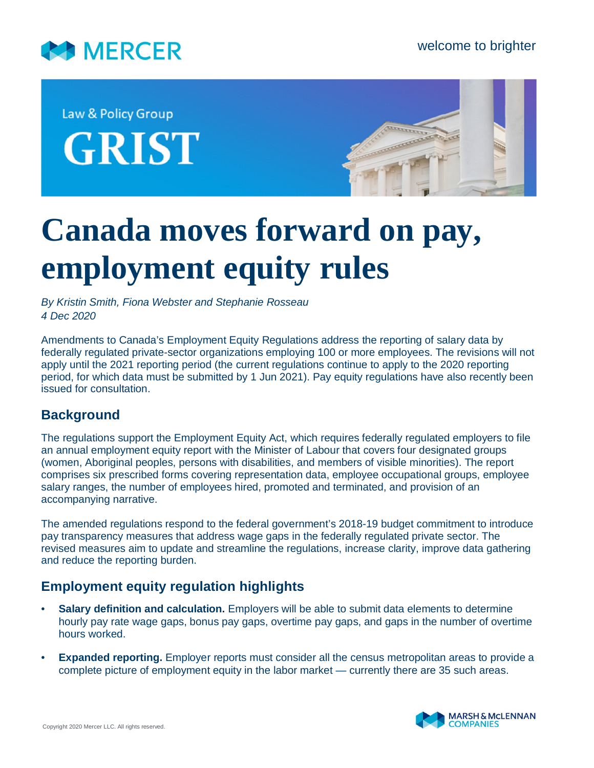

Law & Policy Group **GRIST** 



# **Canada moves forward on pay, employment equity rules**

*By Kristin Smith, Fiona Webster and Stephanie Rosseau 4 Dec 2020*

Amendments to Canada's Employment Equity Regulations address the reporting of salary data by federally regulated private-sector organizations employing 100 or more employees. The revisions will not apply until the 2021 reporting period (the current regulations continue to apply to the 2020 reporting period, for which data must be submitted by 1 Jun 2021). Pay equity regulations have also recently been issued for consultation.

# **Background**

The regulations support the Employment Equity Act, which requires federally regulated employers to file an annual employment equity report with the Minister of Labour that covers four designated groups (women, Aboriginal peoples, persons with disabilities, and members of visible minorities). The report comprises six prescribed forms covering representation data, employee occupational groups, employee salary ranges, the number of employees hired, promoted and terminated, and provision of an accompanying narrative.

The amended regulations respond to the federal government's 2018-19 budget commitment to introduce pay transparency measures that address wage gaps in the federally regulated private sector. The revised measures aim to update and streamline the regulations, increase clarity, improve data gathering and reduce the reporting burden.

# **Employment equity regulation highlights**

- **Salary definition and calculation.** Employers will be able to submit data elements to determine hourly pay rate wage gaps, bonus pay gaps, overtime pay gaps, and gaps in the number of overtime hours worked.
- **Expanded reporting.** Employer reports must consider all the census metropolitan areas to provide a complete picture of employment equity in the labor market — currently there are 35 such areas.